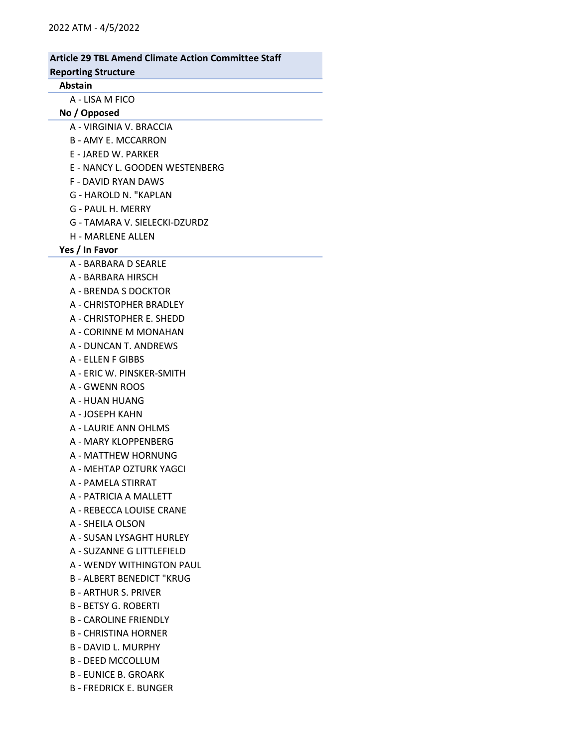### Article 29 TBL Amend Climate Action Committee Staff Reporting Structure Abstain A - LISA M FICO No / Opposed A - VIRGINIA V. BRACCIA B - AMY E. MCCARRON E - JARED W. PARKER E - NANCY L. GOODEN WESTENBERG F - DAVID RYAN DAWS G - HAROLD N. "KAPLAN G - PAUL H. MERRY G - TAMARA V. SIELECKI-DZURDZ H - MARLENE ALLEN Yes / In Favor A - BARBARA D SEARLE A - BARBARA HIRSCH A - BRENDA S DOCKTOR A - CHRISTOPHER BRADLEY A - CHRISTOPHER E. SHEDD A - CORINNE M MONAHAN A - DUNCAN T. ANDREWS A - ELLEN F GIBBS A - ERIC W. PINSKER-SMITH A - GWENN ROOS A - HUAN HUANG A - JOSEPH KAHN A - LAURIE ANN OHLMS A - MARY KLOPPENBERG A - MATTHEW HORNUNG A - MEHTAP OZTURK YAGCI A - PAMELA STIRRAT A - PATRICIA A MALLETT A - REBECCA LOUISE CRANE A - SHEILA OLSON A - SUSAN LYSAGHT HURLEY A - SUZANNE G LITTLEFIELD A - WENDY WITHINGTON PAUL B - ALBERT BENEDICT "KRUG B - ARTHUR S. PRIVER B - BETSY G. ROBERTI B - CAROLINE FRIENDLY B - CHRISTINA HORNER B - DAVID L. MURPHY B - DEED MCCOLLUM B - EUNICE B. GROARK B - FREDRICK E. BUNGER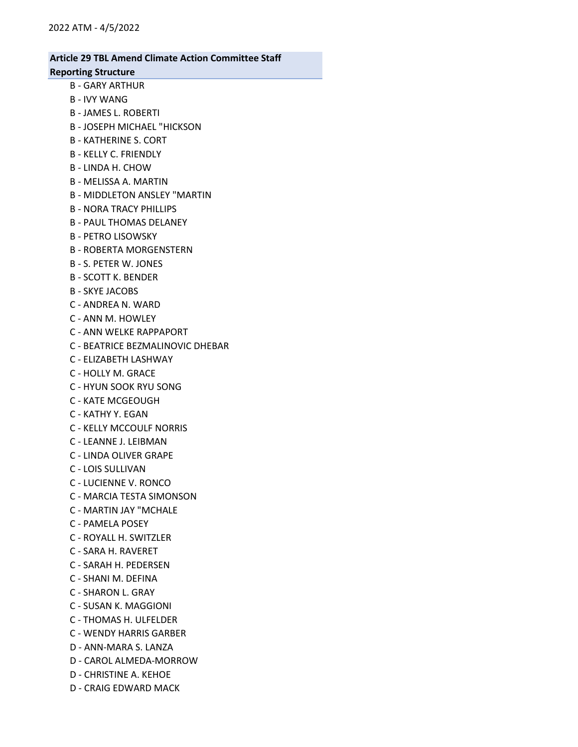## Article 29 TBL Amend Climate Action Committee Staff

#### Reporting Structure

- B GARY ARTHUR
- B IVY WANG
- B JAMES L. ROBERTI
- B JOSEPH MICHAEL "HICKSON
- B KATHERINE S. CORT
- B KELLY C. FRIENDLY
- B LINDA H. CHOW
- B MELISSA A. MARTIN
- B MIDDLETON ANSLEY "MARTIN
- B NORA TRACY PHILLIPS
- B PAUL THOMAS DELANEY
- B PETRO LISOWSKY
- B ROBERTA MORGENSTERN
- B S. PETER W. JONES
- B SCOTT K. BENDER
- B SKYE JACOBS
- C ANDREA N. WARD
- C ANN M. HOWLEY
- C ANN WELKE RAPPAPORT
- C BEATRICE BEZMALINOVIC DHEBAR
- C ELIZABETH LASHWAY
- C HOLLY M. GRACE
- C HYUN SOOK RYU SONG
- C KATE MCGEOUGH
- C KATHY Y. EGAN
- C KELLY MCCOULF NORRIS
- C LEANNE J. LEIBMAN
- C LINDA OLIVER GRAPE
- C LOIS SULLIVAN
- C LUCIENNE V. RONCO
- C MARCIA TESTA SIMONSON
- C MARTIN JAY "MCHALE
- C PAMELA POSEY
- C ROYALL H. SWITZLER
- C SARA H. RAVERET
- C SARAH H. PEDERSEN
- C SHANI M. DEFINA
- C SHARON L. GRAY
- C SUSAN K. MAGGIONI
- C THOMAS H. ULFELDER
- C WENDY HARRIS GARBER
- D ANN-MARA S. LANZA
- D CAROL ALMEDA-MORROW
- D CHRISTINE A. KEHOE
- D CRAIG EDWARD MACK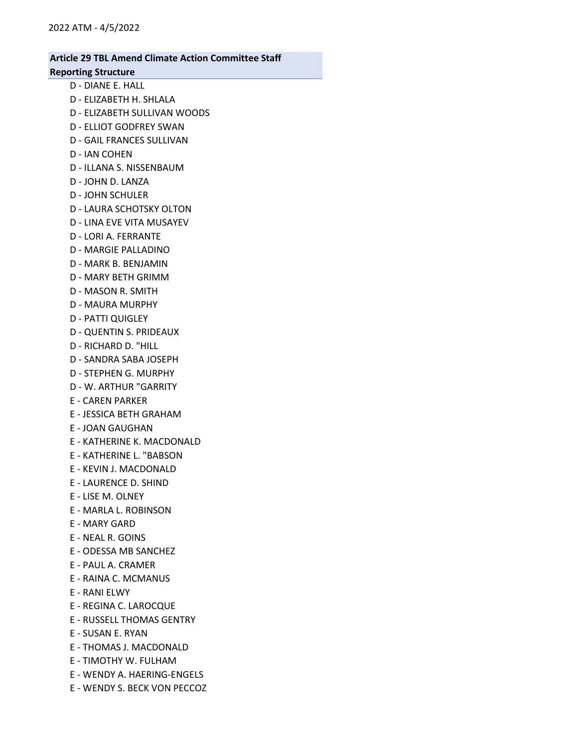#### Article 29 TBL Amend Climate Action Committee Staff Reporting Structure

# D - DIANE E. HALL

- D ELIZABETH H. SHLALA
- D ELIZABETH SULLIVAN WOODS
- D ELLIOT GODFREY SWAN
- D GAIL FRANCES SULLIVAN
- D IAN COHEN
- D ILLANA S. NISSENBAUM
- D JOHN D. LANZA
- D JOHN SCHULER
- D LAURA SCHOTSKY OLTON
- D LINA EVE VITA MUSAYEV
- D LORI A. FERRANTE
- D MARGIE PALLADINO
- D MARK B. BENJAMIN
- D MARY BETH GRIMM
- D MASON R. SMITH
- D MAURA MURPHY
- D PATTI QUIGLEY
- D QUENTIN S. PRIDEAUX
- D RICHARD D. "HILL
- D SANDRA SABA JOSEPH
- D STEPHEN G. MURPHY
- D W. ARTHUR "GARRITY
- E CAREN PARKER
- E JESSICA BETH GRAHAM
- E JOAN GAUGHAN
- E KATHERINE K. MACDONALD
- E KATHERINE L. "BABSON
- E KEVIN J. MACDONALD
- E LAURENCE D. SHIND
- E LISE M. OLNEY
- E MARLA L. ROBINSON
- E MARY GARD
- E NEAL R. GOINS
- E ODESSA MB SANCHEZ
- E PAUL A. CRAMER
- E RAINA C. MCMANUS
- E RANI ELWY
- E REGINA C. LAROCQUE
- E RUSSELL THOMAS GENTRY
- E SUSAN E. RYAN
- E THOMAS J. MACDONALD
- E TIMOTHY W. FULHAM
- E WENDY A. HAERING-ENGELS
- E WENDY S. BECK VON PECCOZ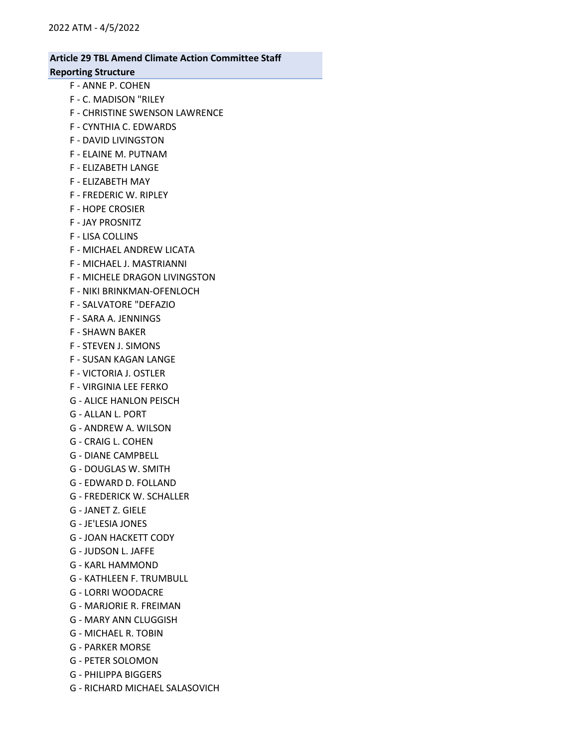#### Article 29 TBL Amend Climate Action Committee Staff Reporting Structure

- F ANNE P. COHEN
- F C. MADISON "RILEY
- F CHRISTINE SWENSON LAWRENCE
- F CYNTHIA C. EDWARDS
- F DAVID LIVINGSTON
- F ELAINE M. PUTNAM
- F ELIZABETH LANGE
- F ELIZABETH MAY
- F FREDERIC W. RIPLEY
- F HOPE CROSIER
- F JAY PROSNITZ
- F LISA COLLINS
- F MICHAEL ANDREW LICATA
- F MICHAEL J. MASTRIANNI
- F MICHELE DRAGON LIVINGSTON
- F NIKI BRINKMAN-OFENLOCH
- F SALVATORE "DEFAZIO
- F SARA A. JENNINGS
- F SHAWN BAKER
- F STEVEN J. SIMONS
- F SUSAN KAGAN LANGE
- F VICTORIA J. OSTLER
- F VIRGINIA LEE FERKO
- G ALICE HANLON PEISCH
- G ALLAN L. PORT
- G ANDREW A. WILSON
- G CRAIG L. COHEN
- G DIANE CAMPBELL
- G DOUGLAS W. SMITH
- G EDWARD D. FOLLAND
- G FREDERICK W. SCHALLER
- G JANET Z. GIELE
- G JE'LESIA JONES
- G JOAN HACKETT CODY
- G JUDSON L. JAFFE
- G KARL HAMMOND
- G KATHLEEN F. TRUMBULL
- G LORRI WOODACRE
- G MARJORIE R. FREIMAN
- G MARY ANN CLUGGISH
- G MICHAEL R. TOBIN
- G PARKER MORSE
- G PETER SOLOMON
- G PHILIPPA BIGGERS
- G RICHARD MICHAEL SALASOVICH